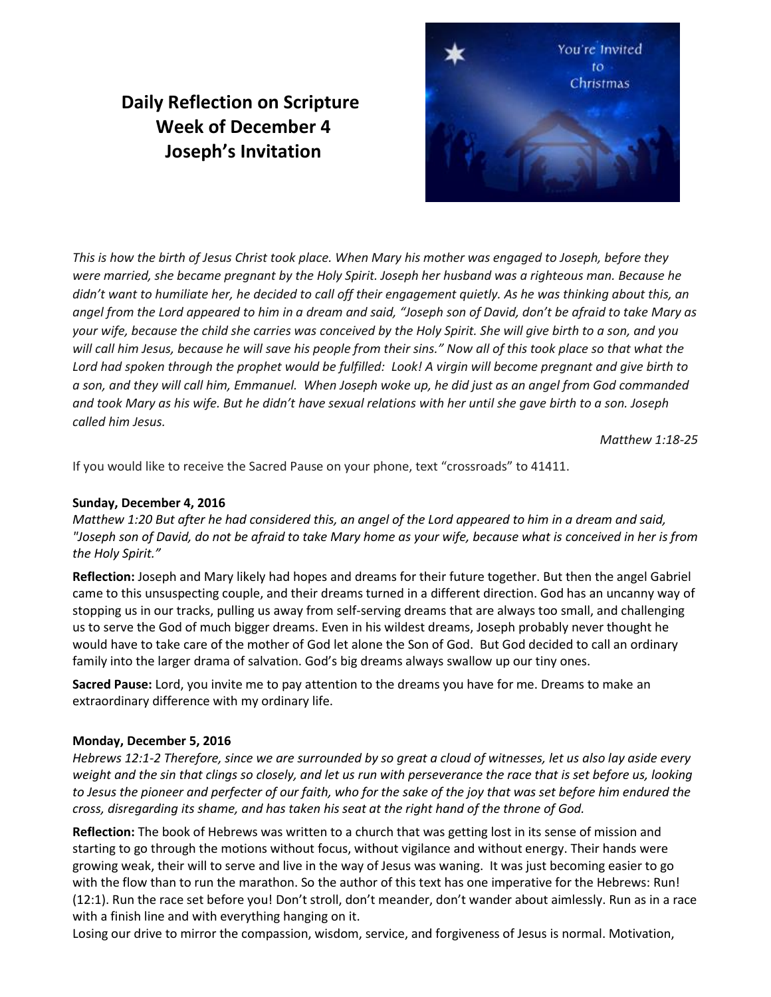# **Daily Reflection on Scripture Week of December 4 Joseph's Invitation**



*This is how the birth of Jesus Christ took place. When Mary his mother was engaged to Joseph, before they were married, she became pregnant by the Holy Spirit. Joseph her husband was a righteous man. Because he didn't want to humiliate her, he decided to call off their engagement quietly. As he was thinking about this, an angel from the Lord appeared to him in a dream and said, "Joseph son of David, don't be afraid to take Mary as your wife, because the child she carries was conceived by the Holy Spirit. She will give birth to a son, and you will call him Jesus, because he will save his people from their sins." Now all of this took place so that what the Lord had spoken through the prophet would be fulfilled: Look! A virgin will become pregnant and give birth to a son, and they will call him, Emmanuel. When Joseph woke up, he did just as an angel from God commanded and took Mary as his wife. But he didn't have sexual relations with her until she gave birth to a son. Joseph called him Jesus.* 

*Matthew 1:18-25*

If you would like to receive the Sacred Pause on your phone, text "crossroads" to 41411.

## **Sunday, December 4, 2016**

*Matthew 1:20 But after he had considered this, an angel of the Lord appeared to him in a dream and said, "Joseph son of David, do not be afraid to take Mary home as your wife, because what is conceived in her is from the Holy Spirit."* 

**Reflection:** Joseph and Mary likely had hopes and dreams for their future together. But then the angel Gabriel came to this unsuspecting couple, and their dreams turned in a different direction. God has an uncanny way of stopping us in our tracks, pulling us away from self-serving dreams that are always too small, and challenging us to serve the God of much bigger dreams. Even in his wildest dreams, Joseph probably never thought he would have to take care of the mother of God let alone the Son of God. But God decided to call an ordinary family into the larger drama of salvation. God's big dreams always swallow up our tiny ones.

**Sacred Pause:** Lord, you invite me to pay attention to the dreams you have for me. Dreams to make an extraordinary difference with my ordinary life.

### **Monday, December 5, 2016**

*Hebrews 12:1-2 Therefore, since we are surrounded by so great a cloud of witnesses, let us also lay aside every weight and the sin that clings so closely, and let us run with perseverance the race that is set before us, looking to Jesus the pioneer and perfecter of our faith, who for the sake of the joy that was set before him endured the cross, disregarding its shame, and has taken his seat at the right hand of the throne of God.*

**Reflection:** The book of Hebrews was written to a church that was getting lost in its sense of mission and starting to go through the motions without focus, without vigilance and without energy. Their hands were growing weak, their will to serve and live in the way of Jesus was waning. It was just becoming easier to go with the flow than to run the marathon. So the author of this text has one imperative for the Hebrews: Run! (12:1). Run the race set before you! Don't stroll, don't meander, don't wander about aimlessly. Run as in a race with a finish line and with everything hanging on it.

Losing our drive to mirror the compassion, wisdom, service, and forgiveness of Jesus is normal. Motivation,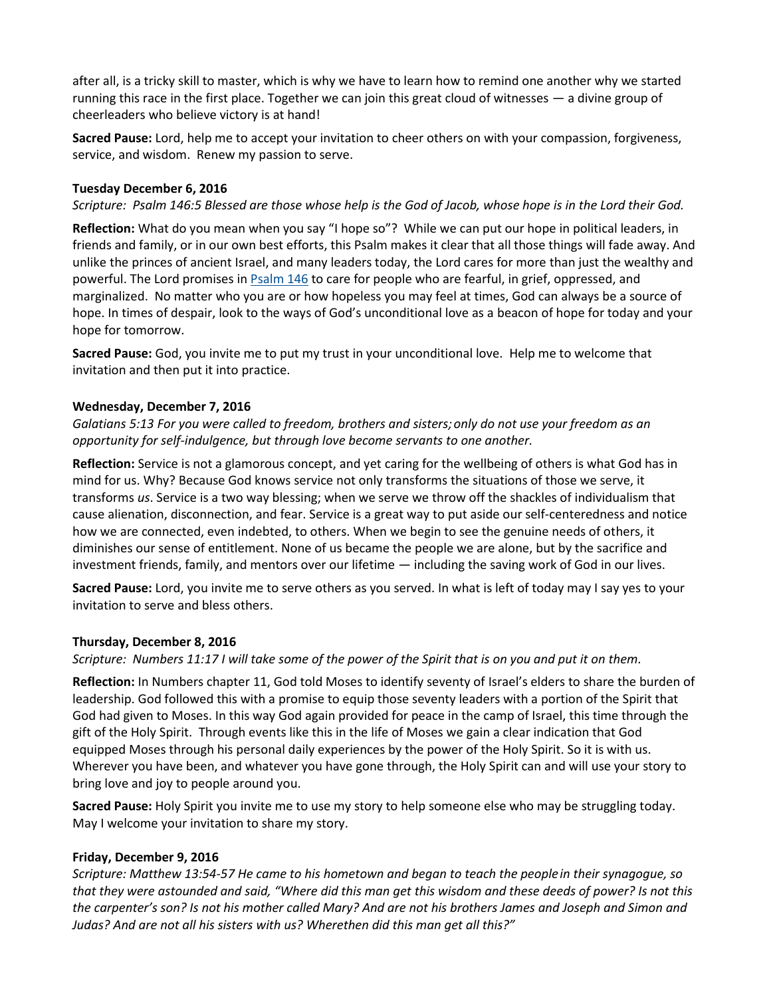after all, is a tricky skill to master, which is why we have to learn how to remind one another why we started running this race in the first place. Together we can join this great cloud of witnesses — a divine group of cheerleaders who believe victory is at hand!

**Sacred Pause:** Lord, help me to accept your invitation to cheer others on with your compassion, forgiveness, service, and wisdom. Renew my passion to serve.

### **Tuesday December 6, 2016**

*Scripture: Psalm 146:5 Blessed are those whose help is the God of Jacob, whose hope is in the Lord their God.*

**Reflection:** What do you mean when you say "I hope so"? While we can put our hope in political leaders, in friends and family, or in our own best efforts, this Psalm makes it clear that all those things will fade away. And unlike the princes of ancient Israel, and many leaders today, the Lord cares for more than just the wealthy and powerful. The Lord promises in [Psalm 146](https://bibles.org/eng-NIV/Ps/146/) to care for people who are fearful, in grief, oppressed, and marginalized. No matter who you are or how hopeless you may feel at times, God can always be a source of hope. In times of despair, look to the ways of God's unconditional love as a beacon of hope for today and your hope for tomorrow.

**Sacred Pause:** God, you invite me to put my trust in your unconditional love. Help me to welcome that invitation and then put it into practice.

### **Wednesday, December 7, 2016**

*Galatians 5:13 For you were called to freedom, brothers and sisters;only do not use your freedom as an opportunity for self-indulgence, but through love become servants to one another.*

**Reflection:** Service is not a glamorous concept, and yet caring for the wellbeing of others is what God has in mind for us. Why? Because God knows service not only transforms the situations of those we serve, it transforms *us*. Service is a two way blessing; when we serve we throw off the shackles of individualism that cause alienation, disconnection, and fear. Service is a great way to put aside our self-centeredness and notice how we are connected, even indebted, to others. When we begin to see the genuine needs of others, it diminishes our sense of entitlement. None of us became the people we are alone, but by the sacrifice and investment friends, family, and mentors over our lifetime — including the saving work of God in our lives.

**Sacred Pause:** Lord, you invite me to serve others as you served. In what is left of today may I say yes to your invitation to serve and bless others.

### **Thursday, December 8, 2016**

*Scripture: Numbers 11:17 I will take some of the power of the Spirit that is on you and put it on them.*

**Reflection:** In Numbers chapter 11, God told Moses to identify seventy of Israel's elders to share the burden of leadership. God followed this with a promise to equip those seventy leaders with a portion of the Spirit that God had given to Moses. In this way God again provided for peace in the camp of Israel, this time through the gift of the Holy Spirit. Through events like this in the life of Moses we gain a clear indication that God equipped Moses through his personal daily experiences by the power of the Holy Spirit. So it is with us. Wherever you have been, and whatever you have gone through, the Holy Spirit can and will use your story to bring love and joy to people around you.

**Sacred Pause:** Holy Spirit you invite me to use my story to help someone else who may be struggling today. May I welcome your invitation to share my story.

### **Friday, December 9, 2016**

*Scripture: Matthew 13:54-57 He came to his hometown and began to teach the peoplein their synagogue, so that they were astounded and said, "Where did this man get this wisdom and these deeds of power? Is not this the carpenter's son? Is not his mother called Mary? And are not his brothers James and Joseph and Simon and Judas? And are not all his sisters with us? Wherethen did this man get all this?"*